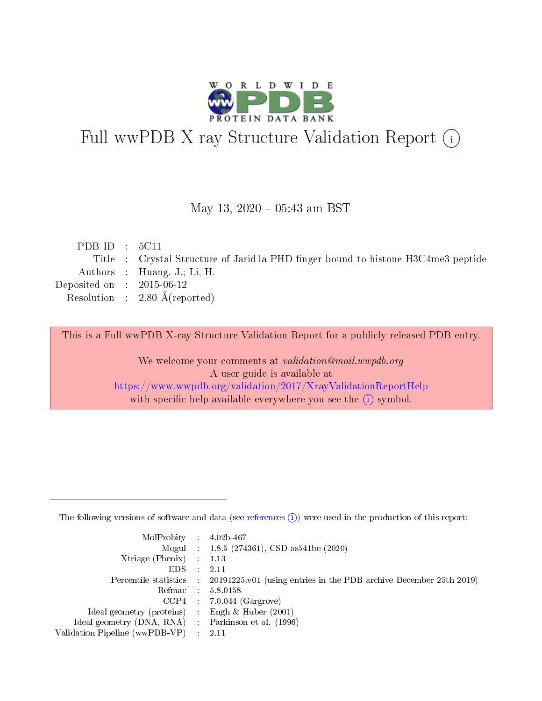

# Full wwPDB X-ray Structure Validation Report (i)

#### May 13,  $2020 - 05:43$  am BST

| PDB ID : $5C11$             |                                                                                  |
|-----------------------------|----------------------------------------------------------------------------------|
|                             | Title : Crystal Structure of Jarid1a PHD finger bound to histone H3C4me3 peptide |
|                             | Authors : Huang, J.; Li, H.                                                      |
| Deposited on : $2015-06-12$ |                                                                                  |
|                             | Resolution : $2.80 \text{ Å}$ (reported)                                         |
|                             |                                                                                  |

This is a Full wwPDB X-ray Structure Validation Report for a publicly released PDB entry.

We welcome your comments at validation@mail.wwpdb.org A user guide is available at <https://www.wwpdb.org/validation/2017/XrayValidationReportHelp> with specific help available everywhere you see the  $(i)$  symbol.

The following versions of software and data (see [references](https://www.wwpdb.org/validation/2017/XrayValidationReportHelp#references)  $(1)$ ) were used in the production of this report:

| $MolProbability$ : 4.02b-467                        |                                                                                              |
|-----------------------------------------------------|----------------------------------------------------------------------------------------------|
|                                                     | Mogul : 1.8.5 (274361), CSD as 541 be (2020)                                                 |
| Xtriage (Phenix) $: 1.13$                           |                                                                                              |
| $EDS$ :                                             | -2.11                                                                                        |
|                                                     | Percentile statistics : $20191225.v01$ (using entries in the PDB archive December 25th 2019) |
| Refmac : 5.8.0158                                   |                                                                                              |
|                                                     | $CCP4$ : 7.0.044 (Gargrove)                                                                  |
| Ideal geometry (proteins) :                         | Engh $\&$ Huber (2001)                                                                       |
| Ideal geometry (DNA, RNA) : Parkinson et al. (1996) |                                                                                              |
| Validation Pipeline (wwPDB-VP) : 2.11               |                                                                                              |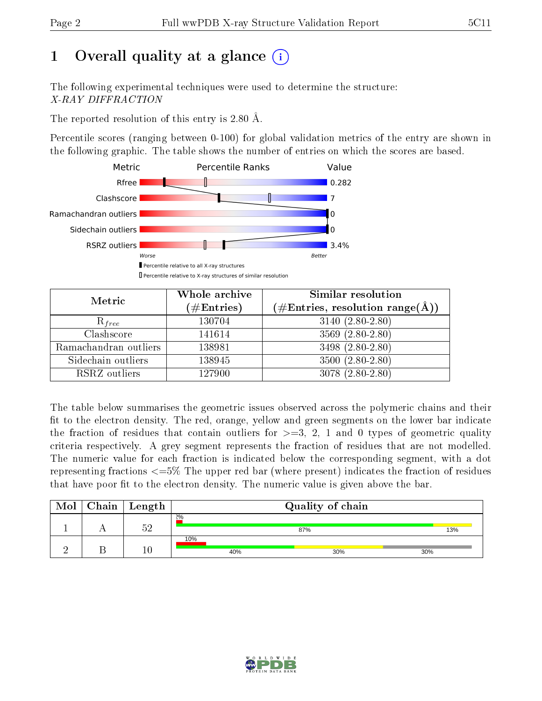# 1 [O](https://www.wwpdb.org/validation/2017/XrayValidationReportHelp#overall_quality)verall quality at a glance  $(i)$

The following experimental techniques were used to determine the structure: X-RAY DIFFRACTION

The reported resolution of this entry is 2.80 Å.

Percentile scores (ranging between 0-100) for global validation metrics of the entry are shown in the following graphic. The table shows the number of entries on which the scores are based.



| Metric                | Whole archive        | <b>Similar resolution</b>                                              |
|-----------------------|----------------------|------------------------------------------------------------------------|
|                       | $(\#\text{Entries})$ | $(\#\text{Entries},\, \text{resolution}\; \text{range}(\textup{\AA}))$ |
| $R_{free}$            | 130704               | $3140(2.80-2.80)$                                                      |
| Clashscore            | 141614               | $3569(2.80-2.80)$                                                      |
| Ramachandran outliers | 138981               | 3498 (2.80-2.80)                                                       |
| Sidechain outliers    | 138945               | $3500(2.80-2.80)$                                                      |
| RSRZ outliers         | 127900               | $3078(2.80-2.80)$                                                      |

The table below summarises the geometric issues observed across the polymeric chains and their fit to the electron density. The red, orange, yellow and green segments on the lower bar indicate the fraction of residues that contain outliers for  $>=3, 2, 1$  and 0 types of geometric quality criteria respectively. A grey segment represents the fraction of residues that are not modelled. The numeric value for each fraction is indicated below the corresponding segment, with a dot representing fractions  $\epsilon=5\%$  The upper red bar (where present) indicates the fraction of residues that have poor fit to the electron density. The numeric value is given above the bar.

| Mol | ${\rm Chain \mid Length}$ | Quality of chain |     |     |  |  |
|-----|---------------------------|------------------|-----|-----|--|--|
|     | にの                        | 2%               | 87% | 13% |  |  |
|     | 10                        | 10%<br>40%       | 30% | 30% |  |  |

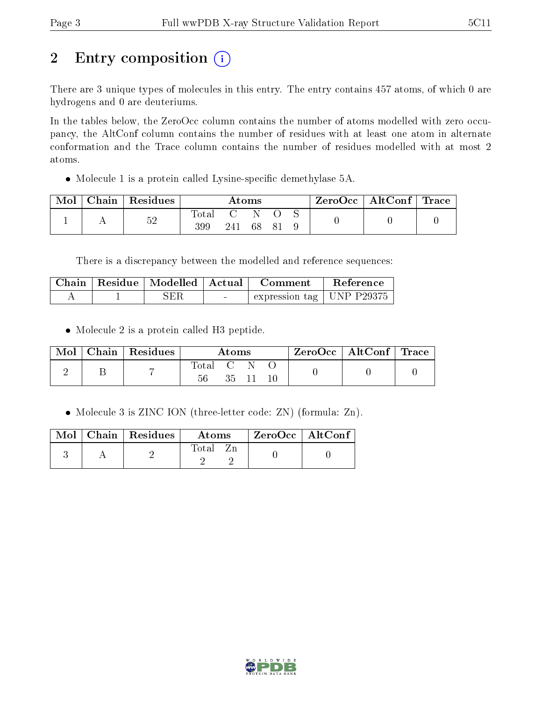# 2 Entry composition (i)

There are 3 unique types of molecules in this entry. The entry contains 457 atoms, of which 0 are hydrogens and 0 are deuteriums.

In the tables below, the ZeroOcc column contains the number of atoms modelled with zero occupancy, the AltConf column contains the number of residues with at least one atom in alternate conformation and the Trace column contains the number of residues modelled with at most 2 atoms.

• Molecule 1 is a protein called Lysine-specific demethylase 5A.

| Mol | Chain   Residues | $\rm{Atoms}$       |     |    | $\rm ZeroOcc$   AltConf   Trace |  |  |  |
|-----|------------------|--------------------|-----|----|---------------------------------|--|--|--|
|     | 52               | $\rm Total$<br>399 | 241 | 68 | - 8 i                           |  |  |  |

There is a discrepancy between the modelled and reference sequences:

|  | Chain   Residue   Modelled   Actual | ∣ Comment.                  | Reference |
|--|-------------------------------------|-----------------------------|-----------|
|  | SER                                 | expression tag   UNP P29375 |           |

• Molecule 2 is a protein called H3 peptide.

| Mol | Chain   Residues | Atoms           |  |          | $\text{ZeroOcc} \mid \text{AltConf} \mid \text{Trace}$ |  |
|-----|------------------|-----------------|--|----------|--------------------------------------------------------|--|
|     |                  | Total C N<br>56 |  | 35 11 10 |                                                        |  |

• Molecule 3 is ZINC ION (three-letter code: ZN) (formula: Zn).

|  | Mol   Chain   Residues | Atoms | $ZeroOcc$   AltConf |
|--|------------------------|-------|---------------------|
|  |                        | Fotal |                     |

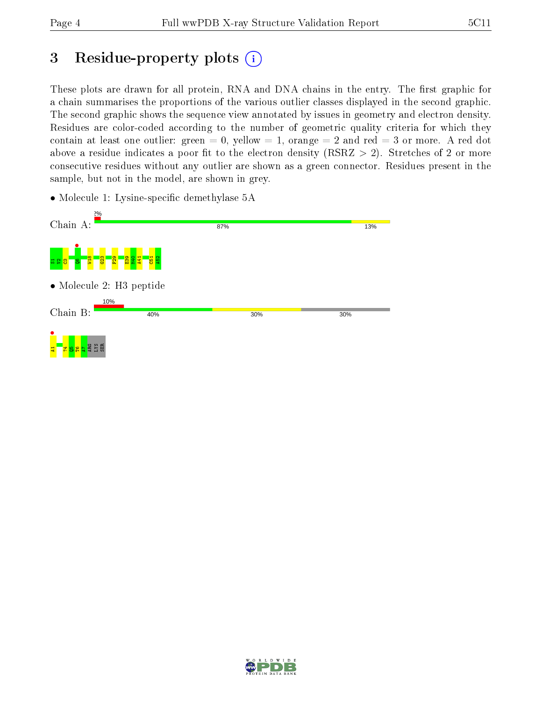# 3 Residue-property plots  $(i)$

These plots are drawn for all protein, RNA and DNA chains in the entry. The first graphic for a chain summarises the proportions of the various outlier classes displayed in the second graphic. The second graphic shows the sequence view annotated by issues in geometry and electron density. Residues are color-coded according to the number of geometric quality criteria for which they contain at least one outlier: green  $= 0$ , yellow  $= 1$ , orange  $= 2$  and red  $= 3$  or more. A red dot above a residue indicates a poor fit to the electron density (RSRZ  $> 2$ ). Stretches of 2 or more consecutive residues without any outlier are shown as a green connector. Residues present in the sample, but not in the model, are shown in grey.

• Molecule 1: Lysine-specific demethylase 5A



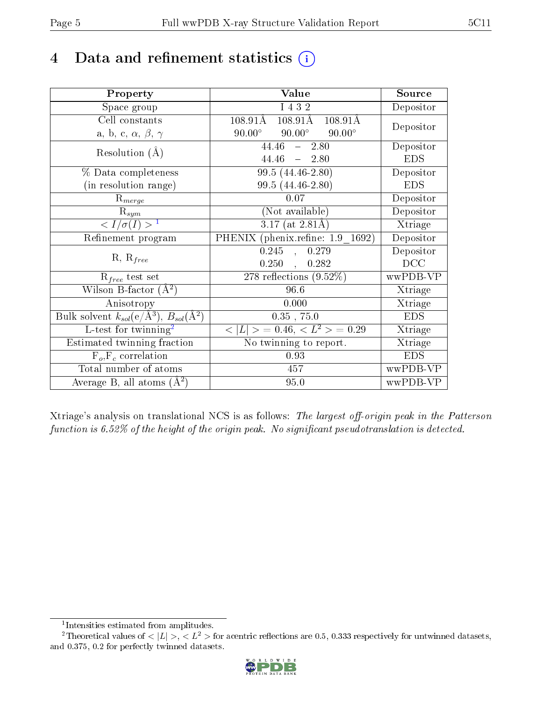# 4 Data and refinement statistics  $(i)$

| Property                                                             | Value                                               | Source     |
|----------------------------------------------------------------------|-----------------------------------------------------|------------|
| Space group                                                          | I 4 3 2                                             | Depositor  |
| Cell constants                                                       | $108.91\text{\AA}$<br>$108.91\text{\AA}$<br>108.91Å |            |
| a, b, c, $\alpha$ , $\beta$ , $\gamma$                               | $90.00^\circ$<br>$90.00^\circ$<br>$90.00^\circ$     | Depositor  |
| Resolution $(A)$                                                     | $44.46 - 2.80$                                      | Depositor  |
|                                                                      | $44.46 = 2.80$                                      | <b>EDS</b> |
| % Data completeness                                                  | $99.5(44.46-2.80)$                                  | Depositor  |
| (in resolution range)                                                | 99.5 (44.46-2.80)                                   | <b>EDS</b> |
| $R_{merge}$                                                          | 0.07                                                | Depositor  |
| $\mathrm{R}_{sym}$                                                   | (Not available)                                     | Depositor  |
| $\langle I/\sigma(I) \rangle^{-1}$                                   | $3.17$ (at 2.81Å)                                   | Xtriage    |
| Refinement program                                                   | PHENIX (phenix.refine: 1.9 1692)                    | Depositor  |
|                                                                      | $0.245$ ,<br>0.279                                  | Depositor  |
| $R, R_{free}$                                                        | 0.250,<br>0.282                                     | DCC        |
| $R_{free}$ test set                                                  | $\overline{278}$ reflections $(9.52\%)$             | wwPDB-VP   |
| Wilson B-factor $(A^2)$                                              | 96.6                                                | Xtriage    |
| Anisotropy                                                           | 0.000                                               | Xtriage    |
| Bulk solvent $k_{sol}(e/\mathring{A}^3)$ , $B_{sol}(\mathring{A}^2)$ | $0.35$ , 75.0                                       | <b>EDS</b> |
| $L$ -test for twinning <sup>2</sup>                                  | $< L >$ = 0.46, $< L2 >$ = 0.29                     | Xtriage    |
| Estimated twinning fraction                                          | No twinning to report.                              | Xtriage    |
| $F_o, F_c$ correlation                                               | 0.93                                                | <b>EDS</b> |
| Total number of atoms                                                | 457                                                 | wwPDB-VP   |
| Average B, all atoms $(A^2)$                                         | 95.0                                                | wwPDB-VP   |

Xtriage's analysis on translational NCS is as follows: The largest off-origin peak in the Patterson function is  $6.52\%$  of the height of the origin peak. No significant pseudotranslation is detected.

<sup>&</sup>lt;sup>2</sup>Theoretical values of  $\langle |L| \rangle$ ,  $\langle L^2 \rangle$  for acentric reflections are 0.5, 0.333 respectively for untwinned datasets, and 0.375, 0.2 for perfectly twinned datasets.



<span id="page-4-1"></span><span id="page-4-0"></span><sup>1</sup> Intensities estimated from amplitudes.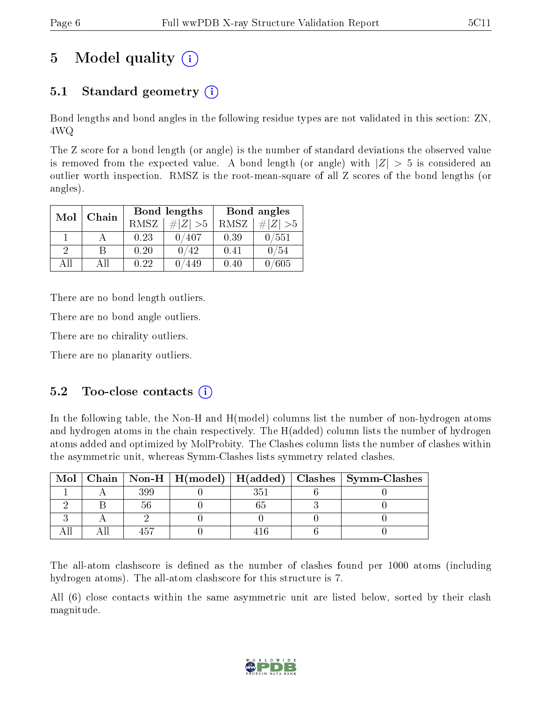# 5 Model quality  $(i)$

### 5.1 Standard geometry  $(i)$

Bond lengths and bond angles in the following residue types are not validated in this section: ZN, 4WQ

The Z score for a bond length (or angle) is the number of standard deviations the observed value is removed from the expected value. A bond length (or angle) with  $|Z| > 5$  is considered an outlier worth inspection. RMSZ is the root-mean-square of all Z scores of the bond lengths (or angles).

| Mol           | Chain |      | Bond lengths | Bond angles |             |  |
|---------------|-------|------|--------------|-------------|-------------|--|
|               |       | RMSZ | $\# Z  > 5$  | RMSZ        | # $ Z >5$   |  |
|               |       | 0.23 | 0/407        | 0.39        | $0\, / 551$ |  |
| $\mathcal{D}$ | В     | 0.20 | 0/42         | 0.41        | 0/54        |  |
| ΔH            | All   | 0.22 | 449          | 0.40        | 605         |  |

There are no bond length outliers.

There are no bond angle outliers.

There are no chirality outliers.

There are no planarity outliers.

### $5.2$  Too-close contacts  $(i)$

In the following table, the Non-H and H(model) columns list the number of non-hydrogen atoms and hydrogen atoms in the chain respectively. The H(added) column lists the number of hydrogen atoms added and optimized by MolProbity. The Clashes column lists the number of clashes within the asymmetric unit, whereas Symm-Clashes lists symmetry related clashes.

|  |  |  | Mol   Chain   Non-H   H(model)   H(added)   Clashes   Symm-Clashes |
|--|--|--|--------------------------------------------------------------------|
|  |  |  |                                                                    |
|  |  |  |                                                                    |
|  |  |  |                                                                    |
|  |  |  |                                                                    |

The all-atom clashscore is defined as the number of clashes found per 1000 atoms (including hydrogen atoms). The all-atom clashscore for this structure is 7.

All (6) close contacts within the same asymmetric unit are listed below, sorted by their clash magnitude.

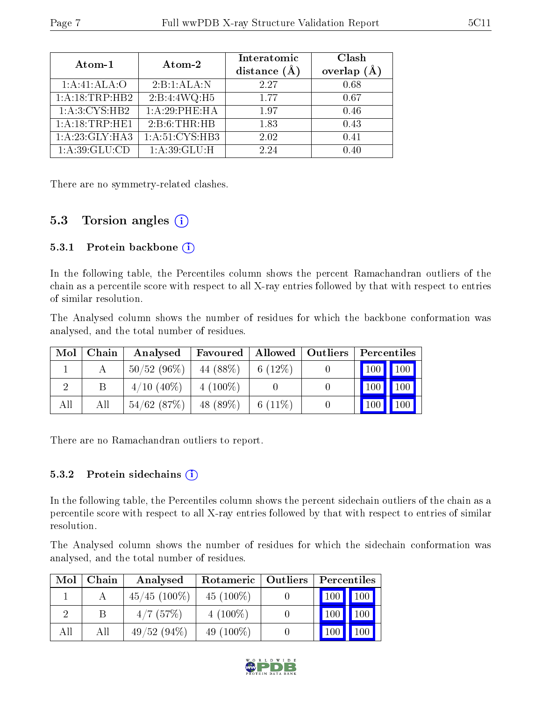| Atom-1             | Atom-2                      | Interatomic<br>distance $(\AA)$ | Clash<br>overlap $(A)$ |
|--------------------|-----------------------------|---------------------------------|------------------------|
| 1:A:41:ALA:O       | 2:B:1:ALA:N                 | 2.27                            | 0.68                   |
| 1:A:18:TRP:HB2     | 2:B:4:4WQ:H5                | 1.77                            | 0.67                   |
| 1: A:3:CYS:HB2     | 1:A:29:PHE:HA               | 1.97                            | 0.46                   |
| 1: A: 18: TRP: HE1 | 2:B:6:THR:HB                | 1.83                            | 0.43                   |
| $1:A:23:GLY:H$ A3  | 1: A:51: CYS:HB3            | 2.02                            | 0.41                   |
| 1: A:39: GLU:CD    | $1: A:39: \overline{GLU:H}$ | 2.24                            | 0.40                   |

There are no symmetry-related clashes.

### 5.3 Torsion angles  $(i)$

#### 5.3.1 Protein backbone (i)

In the following table, the Percentiles column shows the percent Ramachandran outliers of the chain as a percentile score with respect to all X-ray entries followed by that with respect to entries of similar resolution.

The Analysed column shows the number of residues for which the backbone conformation was analysed, and the total number of residues.

| $\bf{Mol}$ | Chain | Analysed      | Favoured    |            | Allowed   Outliers | Percentiles         |                     |
|------------|-------|---------------|-------------|------------|--------------------|---------------------|---------------------|
|            |       | $50/52(96\%)$ | 44 (88\%)   | 6 $(12\%)$ |                    |                     | 100 100             |
|            |       | $4/10$ (40\%) | $4(100\%)$  |            |                    | 100                 | $\vert$ 100 $\vert$ |
| All        | All   | 54/62(87%)    | 48 $(89\%)$ | 6 $(11\%)$ |                    | $\vert$ 100 $\vert$ | $\vert$ 100 $\vert$ |

There are no Ramachandran outliers to report.

#### 5.3.2 Protein sidechains  $(i)$

In the following table, the Percentiles column shows the percent sidechain outliers of the chain as a percentile score with respect to all X-ray entries followed by that with respect to entries of similar resolution.

The Analysed column shows the number of residues for which the sidechain conformation was analysed, and the total number of residues.

| Mol | Chain | Analysed        | Rotameric   Outliers | Percentiles                        |
|-----|-------|-----------------|----------------------|------------------------------------|
|     |       | $45/45$ (100\%) | 45 $(100\%)$         | $\vert$ 100 $\vert$<br>$\vert$ 100 |
|     |       | 4/7(57%)        | $4(100\%)$           | 100<br>100                         |
| All | All   | 49/52(94%)      | 49 $(100\%)$         | 100<br>100                         |

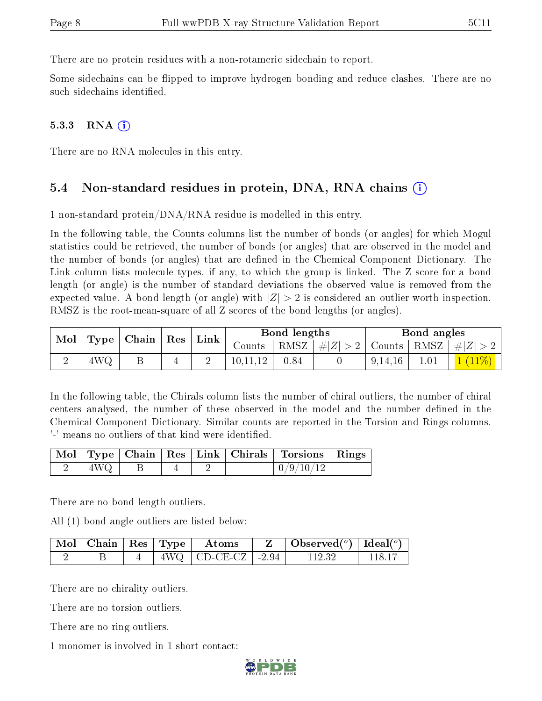There are no protein residues with a non-rotameric sidechain to report.

Some sidechains can be flipped to improve hydrogen bonding and reduce clashes. There are no such sidechains identified.

#### $5.3.3$  RNA  $(i)$

There are no RNA molecules in this entry.

#### 5.4 Non-standard residues in protein, DNA, RNA chains (i)

1 non-standard protein/DNA/RNA residue is modelled in this entry.

In the following table, the Counts columns list the number of bonds (or angles) for which Mogul statistics could be retrieved, the number of bonds (or angles) that are observed in the model and the number of bonds (or angles) that are defined in the Chemical Component Dictionary. The Link column lists molecule types, if any, to which the group is linked. The Z score for a bond length (or angle) is the number of standard deviations the observed value is removed from the expected value. A bond length (or angle) with  $|Z| > 2$  is considered an outlier worth inspection. RMSZ is the root-mean-square of all Z scores of the bond lengths (or angles).

| Mol<br>$\vert$ Type $\vert$ |     | $\vert$ Chain $\vert$ Res $\vert$ Link $\vert$ |   |                        |      |                                    | Bond lengths |  |         | Bond angles |  |
|-----------------------------|-----|------------------------------------------------|---|------------------------|------|------------------------------------|--------------|--|---------|-------------|--|
|                             |     |                                                |   | $\sqrt{\text{counts}}$ | RMSZ | $\vert \#  Z  > 2$   Counts   RMSZ |              |  | $\# Z $ |             |  |
|                             | 4WQ |                                                | ↩ | 10,11,12               | 0.84 |                                    | 9,14,16      |  |         |             |  |

In the following table, the Chirals column lists the number of chiral outliers, the number of chiral centers analysed, the number of these observed in the model and the number defined in the Chemical Component Dictionary. Similar counts are reported in the Torsion and Rings columns. '-' means no outliers of that kind were identified.

|               |  |                | Mol   Type   Chain   Res   Link   Chirals   Torsions   Rings |  |
|---------------|--|----------------|--------------------------------------------------------------|--|
| $+4\text{WO}$ |  | <b>Section</b> | $\mid 0/9/10/12 \mid$                                        |  |

There are no bond length outliers.

All (1) bond angle outliers are listed below:

|  |  | $\lceil \,\text{Mol} \,\rceil$ Chain $\mid$ Res $\mid$ Type $\mid$ Atoms | Observed( $^{\circ}$ )   Ideal( $^{\circ}$ ) |       |
|--|--|--------------------------------------------------------------------------|----------------------------------------------|-------|
|  |  | $4\text{WQ}$   CD-CE-CZ   -2.94                                          | 112.32                                       | 118-1 |

There are no chirality outliers.

There are no torsion outliers.

There are no ring outliers.

1 monomer is involved in 1 short contact:

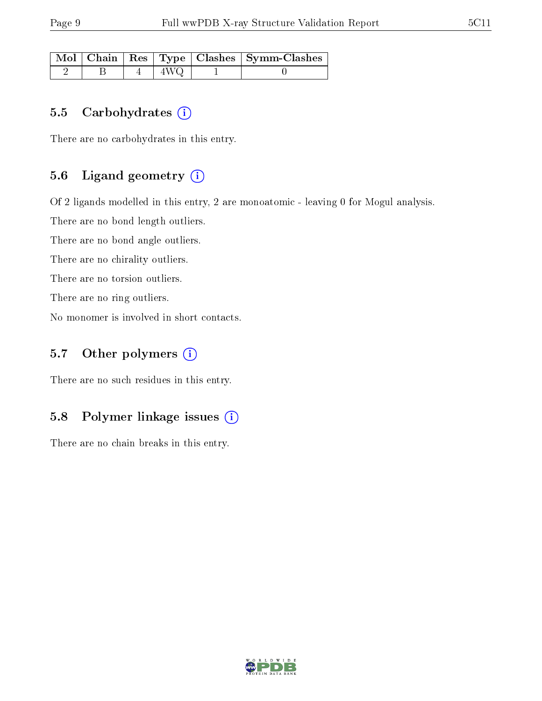|  |     | Mol   Chain   Res   Type   Clashes   Symm-Clashes |
|--|-----|---------------------------------------------------|
|  | 4WQ |                                                   |

#### 5.5 Carbohydrates  $(i)$

There are no carbohydrates in this entry.

#### 5.6 Ligand geometry  $(i)$

Of 2 ligands modelled in this entry, 2 are monoatomic - leaving 0 for Mogul analysis.

There are no bond length outliers.

There are no bond angle outliers.

There are no chirality outliers.

There are no torsion outliers.

There are no ring outliers.

No monomer is involved in short contacts.

#### 5.7 [O](https://www.wwpdb.org/validation/2017/XrayValidationReportHelp#nonstandard_residues_and_ligands)ther polymers (i)

There are no such residues in this entry.

#### 5.8 Polymer linkage issues (i)

There are no chain breaks in this entry.

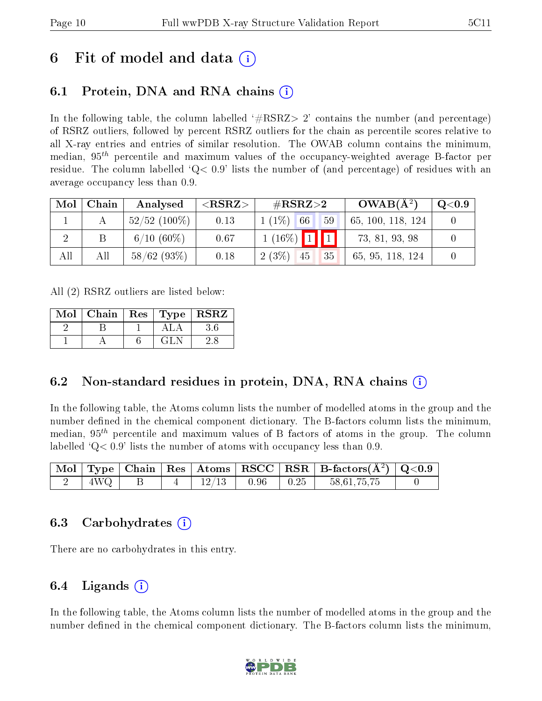## 6 Fit of model and data  $\left( \cdot \right)$

### 6.1 Protein, DNA and RNA chains (i)

In the following table, the column labelled  $#RSRZ>2'$  contains the number (and percentage) of RSRZ outliers, followed by percent RSRZ outliers for the chain as percentile scores relative to all X-ray entries and entries of similar resolution. The OWAB column contains the minimum, median,  $95<sup>th</sup>$  percentile and maximum values of the occupancy-weighted average B-factor per residue. The column labelled  $Q< 0.9$  lists the number of (and percentage) of residues with an average occupancy less than 0.9.

| Mol | Chain | Analysed        | $\#\text{RSRZ}{>}2$<br>${ <\hspace{-1.5pt}{\mathrm{RSRZ}} \hspace{-1.5pt}>}$ |                      | $OWAB(A^2)$       | $\mathrm{Q}{<}0.9$ |
|-----|-------|-----------------|------------------------------------------------------------------------------|----------------------|-------------------|--------------------|
|     |       | $52/52$ (100\%) | 0.13                                                                         | $1(1\%)$<br>66<br>59 | 65, 100, 118, 124 |                    |
|     |       | $6/10(60\%)$    | 0.67                                                                         | $1(16\%)$ 1 1        | 73, 81, 93, 98    |                    |
| All | All   | 58/62(93%)      | 0.18                                                                         | $2(3\%)$<br>35<br>45 | 65, 95, 118, 124  |                    |

All (2) RSRZ outliers are listed below:

| Mol | Chain |      | $\vert$ Res $\vert$ Type $\vert$ RSRZ |  |
|-----|-------|------|---------------------------------------|--|
|     |       |      |                                       |  |
|     |       | GL N |                                       |  |

### 6.2 Non-standard residues in protein, DNA, RNA chains  $(i)$

In the following table, the Atoms column lists the number of modelled atoms in the group and the number defined in the chemical component dictionary. The B-factors column lists the minimum, median,  $95<sup>th</sup>$  percentile and maximum values of B factors of atoms in the group. The column labelled  $Q< 0.9$ ' lists the number of atoms with occupancy less than 0.9.

|                   |  |                          |  | $\boxed{\text{ Mol}}$ Type   Chain   Res   Atoms   RSCC   RSR   B-factors $(\AA^2)$   Q<0.9 |  |
|-------------------|--|--------------------------|--|---------------------------------------------------------------------------------------------|--|
| $+4\text{WQ}$ $+$ |  | $+12/13$ $+0.96$ $+0.25$ |  | 58,61,75,75                                                                                 |  |

#### 6.3 Carbohydrates (i)

There are no carbohydrates in this entry.

#### 6.4 Ligands  $(i)$

In the following table, the Atoms column lists the number of modelled atoms in the group and the number defined in the chemical component dictionary. The B-factors column lists the minimum,